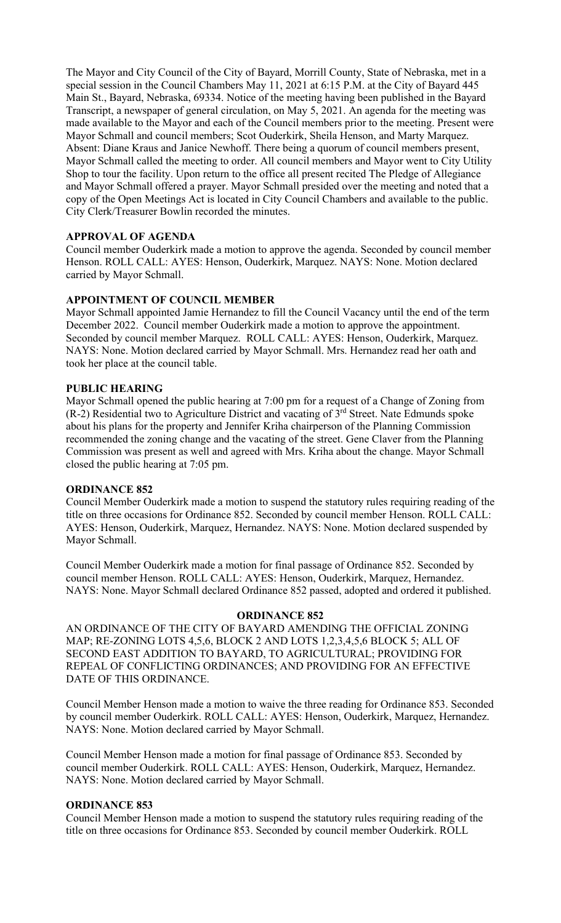The Mayor and City Council of the City of Bayard, Morrill County, State of Nebraska, met in a special session in the Council Chambers May 11, 2021 at 6:15 P.M. at the City of Bayard 445 Main St., Bayard, Nebraska, 69334. Notice of the meeting having been published in the Bayard Transcript, a newspaper of general circulation, on May 5, 2021. An agenda for the meeting was made available to the Mayor and each of the Council members prior to the meeting. Present were Mayor Schmall and council members; Scot Ouderkirk, Sheila Henson, and Marty Marquez. Absent: Diane Kraus and Janice Newhoff. There being a quorum of council members present, Mayor Schmall called the meeting to order. All council members and Mayor went to City Utility Shop to tour the facility. Upon return to the office all present recited The Pledge of Allegiance and Mayor Schmall offered a prayer. Mayor Schmall presided over the meeting and noted that a copy of the Open Meetings Act is located in City Council Chambers and available to the public. City Clerk/Treasurer Bowlin recorded the minutes.

### **APPROVAL OF AGENDA**

Council member Ouderkirk made a motion to approve the agenda. Seconded by council member Henson. ROLL CALL: AYES: Henson, Ouderkirk, Marquez. NAYS: None. Motion declared carried by Mayor Schmall.

## **APPOINTMENT OF COUNCIL MEMBER**

Mayor Schmall appointed Jamie Hernandez to fill the Council Vacancy until the end of the term December 2022. Council member Ouderkirk made a motion to approve the appointment. Seconded by council member Marquez. ROLL CALL: AYES: Henson, Ouderkirk, Marquez. NAYS: None. Motion declared carried by Mayor Schmall. Mrs. Hernandez read her oath and took her place at the council table.

#### **PUBLIC HEARING**

Mayor Schmall opened the public hearing at 7:00 pm for a request of a Change of Zoning from  $(R-2)$  Residential two to Agriculture District and vacating of  $3<sup>rd</sup>$  Street. Nate Edmunds spoke about his plans for the property and Jennifer Kriha chairperson of the Planning Commission recommended the zoning change and the vacating of the street. Gene Claver from the Planning Commission was present as well and agreed with Mrs. Kriha about the change. Mayor Schmall closed the public hearing at 7:05 pm.

#### **ORDINANCE 852**

Council Member Ouderkirk made a motion to suspend the statutory rules requiring reading of the title on three occasions for Ordinance 852. Seconded by council member Henson. ROLL CALL: AYES: Henson, Ouderkirk, Marquez, Hernandez. NAYS: None. Motion declared suspended by Mayor Schmall.

Council Member Ouderkirk made a motion for final passage of Ordinance 852. Seconded by council member Henson. ROLL CALL: AYES: Henson, Ouderkirk, Marquez, Hernandez. NAYS: None. Mayor Schmall declared Ordinance 852 passed, adopted and ordered it published.

#### **ORDINANCE 852**

AN ORDINANCE OF THE CITY OF BAYARD AMENDING THE OFFICIAL ZONING MAP; RE-ZONING LOTS 4,5,6, BLOCK 2 AND LOTS 1,2,3,4,5,6 BLOCK 5; ALL OF SECOND EAST ADDITION TO BAYARD, TO AGRICULTURAL; PROVIDING FOR REPEAL OF CONFLICTING ORDINANCES; AND PROVIDING FOR AN EFFECTIVE DATE OF THIS ORDINANCE.

Council Member Henson made a motion to waive the three reading for Ordinance 853. Seconded by council member Ouderkirk. ROLL CALL: AYES: Henson, Ouderkirk, Marquez, Hernandez. NAYS: None. Motion declared carried by Mayor Schmall.

Council Member Henson made a motion for final passage of Ordinance 853. Seconded by council member Ouderkirk. ROLL CALL: AYES: Henson, Ouderkirk, Marquez, Hernandez. NAYS: None. Motion declared carried by Mayor Schmall.

### **ORDINANCE 853**

Council Member Henson made a motion to suspend the statutory rules requiring reading of the title on three occasions for Ordinance 853. Seconded by council member Ouderkirk. ROLL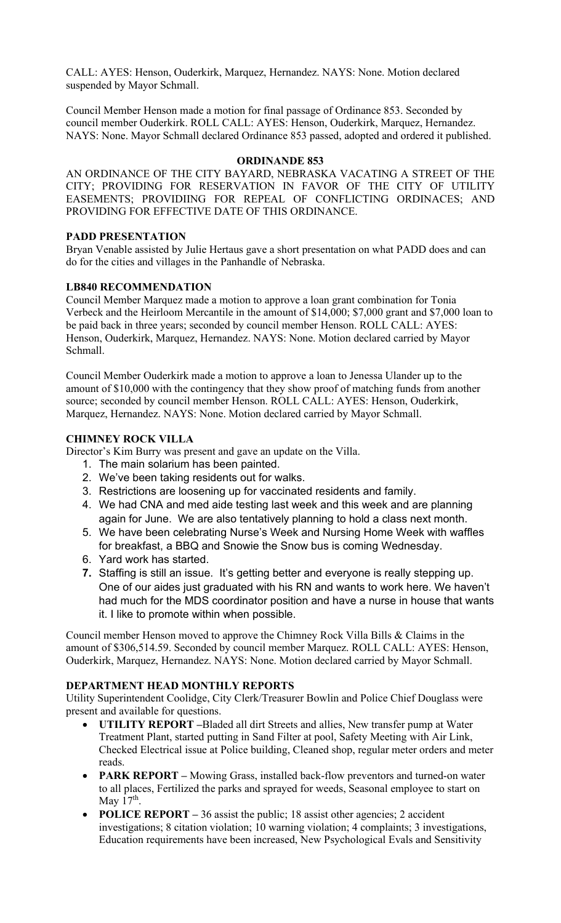CALL: AYES: Henson, Ouderkirk, Marquez, Hernandez. NAYS: None. Motion declared suspended by Mayor Schmall.

Council Member Henson made a motion for final passage of Ordinance 853. Seconded by council member Ouderkirk. ROLL CALL: AYES: Henson, Ouderkirk, Marquez, Hernandez. NAYS: None. Mayor Schmall declared Ordinance 853 passed, adopted and ordered it published.

## **ORDINANDE 853**

AN ORDINANCE OF THE CITY BAYARD, NEBRASKA VACATING A STREET OF THE CITY; PROVIDING FOR RESERVATION IN FAVOR OF THE CITY OF UTILITY EASEMENTS; PROVIDIING FOR REPEAL OF CONFLICTING ORDINACES; AND PROVIDING FOR EFFECTIVE DATE OF THIS ORDINANCE.

# **PADD PRESENTATION**

Bryan Venable assisted by Julie Hertaus gave a short presentation on what PADD does and can do for the cities and villages in the Panhandle of Nebraska.

# **LB840 RECOMMENDATION**

Council Member Marquez made a motion to approve a loan grant combination for Tonia Verbeck and the Heirloom Mercantile in the amount of \$14,000; \$7,000 grant and \$7,000 loan to be paid back in three years; seconded by council member Henson. ROLL CALL: AYES: Henson, Ouderkirk, Marquez, Hernandez. NAYS: None. Motion declared carried by Mayor Schmall.

Council Member Ouderkirk made a motion to approve a loan to Jenessa Ulander up to the amount of \$10,000 with the contingency that they show proof of matching funds from another source; seconded by council member Henson. ROLL CALL: AYES: Henson, Ouderkirk, Marquez, Hernandez. NAYS: None. Motion declared carried by Mayor Schmall.

# **CHIMNEY ROCK VILLA**

Director's Kim Burry was present and gave an update on the Villa.

- 1. The main solarium has been painted.
- 2. We've been taking residents out for walks.
- 3. Restrictions are loosening up for vaccinated residents and family.
- 4. We had CNA and med aide testing last week and this week and are planning again for June. We are also tentatively planning to hold a class next month.
- 5. We have been celebrating Nurse's Week and Nursing Home Week with waffles for breakfast, a BBQ and Snowie the Snow bus is coming Wednesday.
- 6. Yard work has started.
- **7.** Staffing is still an issue. It's getting better and everyone is really stepping up. One of our aides just graduated with his RN and wants to work here. We haven't had much for the MDS coordinator position and have a nurse in house that wants it. I like to promote within when possible.

Council member Henson moved to approve the Chimney Rock Villa Bills & Claims in the amount of \$306,514.59. Seconded by council member Marquez. ROLL CALL: AYES: Henson, Ouderkirk, Marquez, Hernandez. NAYS: None. Motion declared carried by Mayor Schmall.

## **DEPARTMENT HEAD MONTHLY REPORTS**

Utility Superintendent Coolidge, City Clerk/Treasurer Bowlin and Police Chief Douglass were present and available for questions.

- **UTILITY REPORT –**Bladed all dirt Streets and allies, New transfer pump at Water Treatment Plant, started putting in Sand Filter at pool, Safety Meeting with Air Link, Checked Electrical issue at Police building, Cleaned shop, regular meter orders and meter reads.
- **PARK REPORT** Mowing Grass, installed back-flow preventors and turned-on water to all places, Fertilized the parks and sprayed for weeds, Seasonal employee to start on May  $17<sup>th</sup>$ .
- **POLICE REPORT** 36 assist the public; 18 assist other agencies; 2 accident investigations; 8 citation violation; 10 warning violation; 4 complaints; 3 investigations, Education requirements have been increased, New Psychological Evals and Sensitivity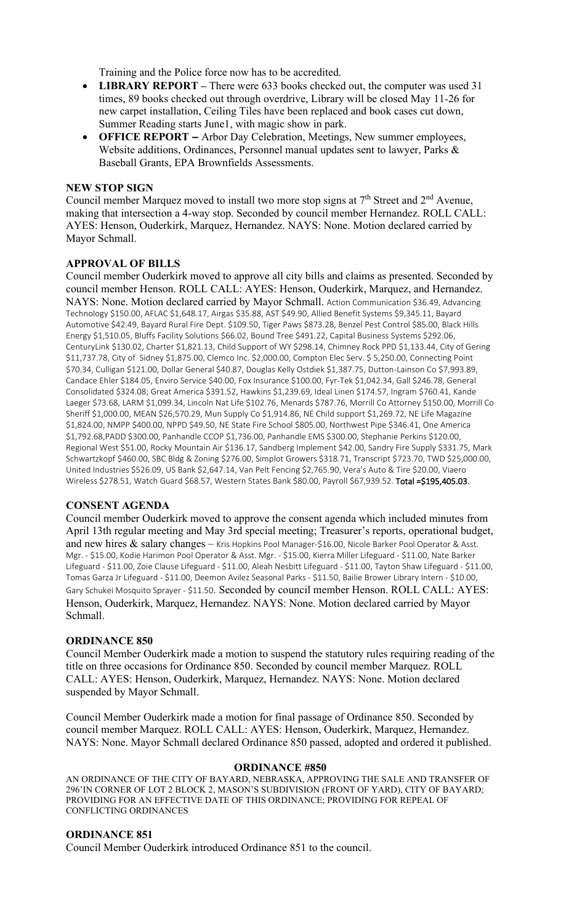Training and the Police force now has to be accredited.

- **LIBRARY REPORT** There were 633 books checked out, the computer was used 31 times, 89 books checked out through overdrive, Library will be closed May 11-26 for new carpet installation, Ceiling Tiles have been replaced and book cases cut down, Summer Reading starts June1, with magic show in park.
- **OFFICE REPORT –** Arbor Day Celebration, Meetings, New summer employees, Website additions, Ordinances, Personnel manual updates sent to lawyer, Parks & Baseball Grants, EPA Brownfields Assessments.

## **NEW STOP SIGN**

Council member Marquez moved to install two more stop signs at  $7<sup>th</sup>$  Street and  $2<sup>nd</sup>$  Avenue, making that intersection a 4-way stop. Seconded by council member Hernandez. ROLL CALL: AYES: Henson, Ouderkirk, Marquez, Hernandez. NAYS: None. Motion declared carried by Mayor Schmall.

## **APPROVAL OF BILLS**

Council member Ouderkirk moved to approve all city bills and claims as presented. Seconded by council member Henson. ROLL CALL: AYES: Henson, Ouderkirk, Marquez, and Hernandez. NAYS: None. Motion declared carried by Mayor Schmall. Action Communication \$36.49, Advancing Technology \$150.00, AFLAC \$1,648.17, Airgas \$35.88, AST \$49.90, Allied Benefit Systems \$9,345.11, Bayard Automotive \$42.49, Bayard Rural Fire Dept. \$109.50, Tiger Paws \$873.28, Benzel Pest Control \$85.00, Black Hills Energy \$1,510.05, Bluffs Facility Solutions \$66.02, Bound Tree \$491.22, Capital Business Systems \$292.06, CenturyLink \$130.02, Charter \$1,821.13, Child Support of WY \$298.14, Chimney Rock PPD \$1,133.44, City of Gering \$11,737.78, City of Sidney \$1,875.00, Clemco Inc. \$2,000.00, Compton Elec Serv. \$ 5,250.00, Connecting Point \$70.34, Culligan \$121.00, Dollar General \$40.87, Douglas Kelly Ostdiek \$1,387.75, Dutton-Lainson Co \$7,993.89, Candace Ehler \$184.05, Enviro Service \$40.00, Fox Insurance \$100.00, Fyr-Tek \$1,042.34, Gall \$246.78, General Consolidated \$324.08; Great America \$391.52, Hawkins \$1,239.69, Ideal Linen \$174.57, Ingram \$760.41, Kande Laeger \$73.68, LARM \$1,099.34, Lincoln Nat Life \$102.76, Menards \$787.76, Morrill Co Attorney \$150.00, Morrill Co Sheriff \$1,000.00, MEAN \$26,570.29, Mun Supply Co \$1,914.86, NE Child support \$1,269.72, NE Life Magazine \$1,824.00, NMPP \$400.00, NPPD \$49.50, NE State Fire School \$805.00, Northwest Pipe \$346.41, One America \$1,792.68,PADD \$300.00, Panhandle CCOP \$1,736.00, Panhandle EMS \$300.00, Stephanie Perkins \$120.00, Regional West \$51.00, Rocky Mountain Air \$136.17, Sandberg Implement \$42.00, Sandry Fire Supply \$331.75, Mark Schwartzkopf \$460.00, SBC Bldg & Zoning \$276.00, Simplot Growers \$318.71, Transcript \$723.70, TWD \$25,000.00, United Industries \$526.09, US Bank \$2,647.14, Van Pelt Fencing \$2,765.90, Vera's Auto & Tire \$20.00, Viaero Wireless \$278.51, Watch Guard \$68.57, Western States Bank \$80.00, Payroll \$67,939.52. Total =\$195,405.03.

## **CONSENT AGENDA**

Council member Ouderkirk moved to approve the consent agenda which included minutes from April 13th regular meeting and May 3rd special meeting; Treasurer's reports, operational budget, and new hires & salary changes - Kris Hopkins Pool Manager-\$16.00, Nicole Barker Pool Operator & Asst. Mgr. - \$15.00, Kodie Harimon Pool Operator & Asst. Mgr. - \$15.00, Kierra Miller Lifeguard - \$11.00, Nate Barker Lifeguard - \$11.00, Zoie Clause Lifeguard - \$11.00, Aleah Nesbitt Lifeguard - \$11.00, Tayton Shaw Lifeguard - \$11.00, Tomas Garza Jr Lifeguard - \$11.00, Deemon Avilez Seasonal Parks - \$11.50, Bailie Brower Library Intern - \$10.00, Gary Schukei Mosquito Sprayer - \$11.50. Seconded by council member Henson. ROLL CALL: AYES: Henson, Ouderkirk, Marquez, Hernandez. NAYS: None. Motion declared carried by Mayor Schmall.

## **ORDINANCE 850**

Council Member Ouderkirk made a motion to suspend the statutory rules requiring reading of the title on three occasions for Ordinance 850. Seconded by council member Marquez. ROLL CALL: AYES: Henson, Ouderkirk, Marquez, Hernandez. NAYS: None. Motion declared suspended by Mayor Schmall.

Council Member Ouderkirk made a motion for final passage of Ordinance 850. Seconded by council member Marquez. ROLL CALL: AYES: Henson, Ouderkirk, Marquez, Hernandez. NAYS: None. Mayor Schmall declared Ordinance 850 passed, adopted and ordered it published.

#### **ORDINANCE #850**

AN ORDINANCE OF THE CITY OF BAYARD, NEBRASKA, APPROVING THE SALE AND TRANSFER OF 296'IN CORNER OF LOT 2 BLOCK 2, MASON'S SUBDIVISION (FRONT OF YARD), CITY OF BAYARD; PROVIDING FOR AN EFFECTIVE DATE OF THIS ORDINANCE; PROVIDING FOR REPEAL OF CONFLICTING ORDINANCES

#### **ORDINANCE 851**

Council Member Ouderkirk introduced Ordinance 851 to the council.